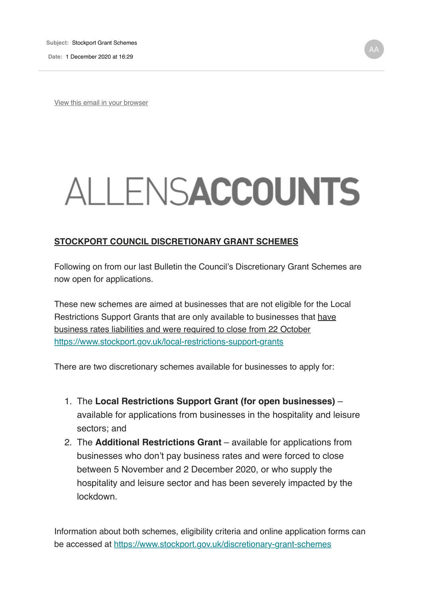**Date:** 1 December 2020 at 16:29

View this email in your browser

## ALLENSACCOUNTS

## **STOCKPORT COUNCIL DISCRETIONARY GRANT SCHEMES**

Following on from our last Bulletin the Council's Discretionary Grant Schemes are now open for applications.

These new schemes are aimed at businesses that are not eligible for the Local Restrictions Support Grants that are only available to businesses that have business rates liabilities and were required to close from 22 October https://www.stockport.gov.uk/local-restrictions-support-grants

There are two discretionary schemes available for businesses to apply for:

- 1. The **Local Restrictions Support Grant (for open businesses)** available for applications from businesses in the hospitality and leisure sectors; and
- 2. The **Additional Restrictions Grant** available for applications from businesses who don't pay business rates and were forced to close between 5 November and 2 December 2020, or who supply the hospitality and leisure sector and has been severely impacted by the lockdown.

Information about both schemes, eligibility criteria and online application forms can be accessed at https://www.stockport.gov.uk/discretionary-grant-schemes